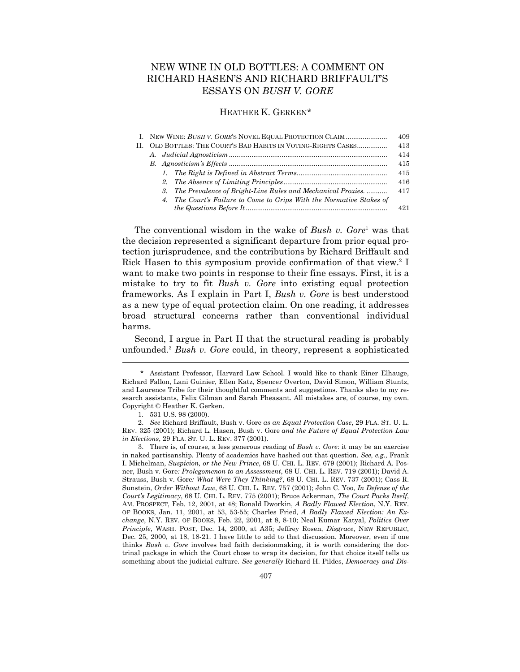# NEW WINE IN OLD BOTTLES: A COMMENT ON RICHARD HASEN'S AND RICHARD BRIFFAULT'S ESSAYS ON *BUSH V. GORE*

## HEATHER K. GERKEN\*

|    | I. NEW WINE: BUSH V. GORE'S NOVEL EQUAL PROTECTION CLAIM             | 409  |
|----|----------------------------------------------------------------------|------|
| П. | OLD BOTTLES: THE COURT'S BAD HABITS IN VOTING-RIGHTS CASES           | 413  |
|    |                                                                      | 414  |
|    |                                                                      | 415  |
|    |                                                                      | 415  |
|    |                                                                      | 416  |
|    | 3. The Prevalence of Bright-Line Rules and Mechanical Proxies.       | 417  |
|    | 4. The Court's Failure to Come to Grips With the Normative Stakes of |      |
|    |                                                                      | 491. |
|    |                                                                      |      |

The conventional wisdom in the wake of *Bush v. Gore*<sup>1</sup> was that the decision represented a significant departure from prior equal protection jurisprudence, and the contributions by Richard Briffault and Rick Hasen to this symposium provide confirmation of that view.<sup>2</sup> I want to make two points in response to their fine essays. First, it is a mistake to try to fit *Bush v. Gore* into existing equal protection frameworks. As I explain in Part I, *Bush v. Gore* is best understood as a new type of equal protection claim. On one reading, it addresses broad structural concerns rather than conventional individual harms.

 Second, I argue in Part II that the structural reading is probably unfounded.3 *Bush v. Gore* could, in theory, represent a sophisticated

 <sup>\*</sup> Assistant Professor, Harvard Law School. I would like to thank Einer Elhauge, Richard Fallon, Lani Guinier, Ellen Katz, Spencer Overton, David Simon, William Stuntz, and Laurence Tribe for their thoughtful comments and suggestions. Thanks also to my research assistants, Felix Gilman and Sarah Pheasant. All mistakes are, of course, my own. Copyright © Heather K. Gerken.

 <sup>1. 531</sup> U.S. 98 (2000).

 <sup>2.</sup> *See* Richard Briffault, Bush v. Gore *as an Equal Protection Case*, 29 FLA. ST. U. L. REV. 325 (2001); Richard L. Hasen, Bush v. Gore *and the Future of Equal Protection Law in Elections*, 29 FLA. ST. U. L. REV. 377 (2001).

 <sup>3.</sup> There is, of course, a less generous reading of *Bush v. Gore*: it may be an exercise in naked partisanship. Plenty of academics have hashed out that question. *See, e.g.,* Frank I. Michelman, *Suspicion, or the New Prince*, 68 U. CHI. L. REV. 679 (2001); Richard A. Posner, Bush v. Gore*: Prolegomenon to an Assessment*, 68 U. CHI. L. REV. 719 (2001); David A. Strauss, Bush v. Gore*: What Were They Thinking?*, 68 U. CHI. L. REV. 737 (2001); Cass R. Sunstein, *Order Without Law*, 68 U. CHI. L. REV. 757 (2001); John C. Yoo, *In Defense of the Court's Legitimacy*, 68 U. CHI. L. REV. 775 (2001); Bruce Ackerman, *The Court Packs Itself*, AM. PROSPECT, Feb. 12, 2001, at 48; Ronald Dworkin, *A Badly Flawed Election*, N.Y. REV. OF BOOKS, Jan. 11, 2001, at 53, 53-55; Charles Fried, *A Badly Flawed Election: An Exchange*, N.Y. REV. OF BOOKS, Feb. 22, 2001, at 8, 8-10; Neal Kumar Katyal, *Politics Over Principle*, WASH. POST, Dec. 14, 2000, at A35; Jeffrey Rosen, *Disgrace*, NEW REPUBLIC, Dec. 25, 2000, at 18, 18-21. I have little to add to that discussion. Moreover, even if one thinks *Bush v. Gore* involves bad faith decisionmaking, it is worth considering the doctrinal package in which the Court chose to wrap its decision, for that choice itself tells us something about the judicial culture. *See generally* Richard H. Pildes, *Democracy and Dis-*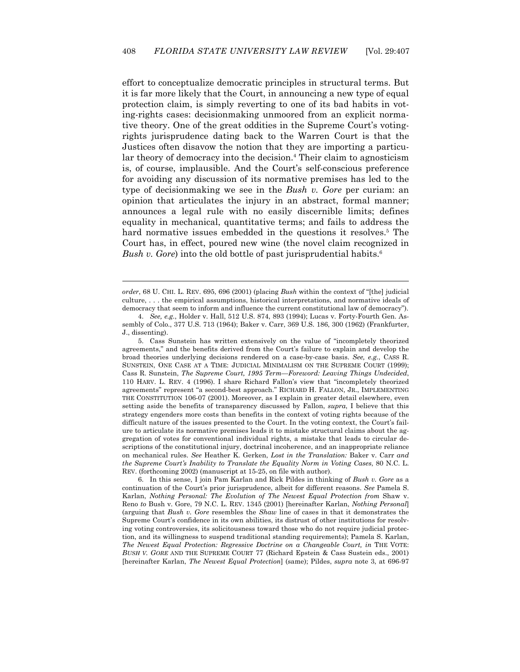effort to conceptualize democratic principles in structural terms. But it is far more likely that the Court, in announcing a new type of equal protection claim, is simply reverting to one of its bad habits in voting-rights cases: decisionmaking unmoored from an explicit normative theory. One of the great oddities in the Supreme Court's votingrights jurisprudence dating back to the Warren Court is that the Justices often disavow the notion that they are importing a particular theory of democracy into the decision.<sup>4</sup> Their claim to agnosticism is, of course, implausible. And the Court's self-conscious preference for avoiding any discussion of its normative premises has led to the type of decisionmaking we see in the *Bush v. Gore* per curiam: an opinion that articulates the injury in an abstract, formal manner; announces a legal rule with no easily discernible limits; defines equality in mechanical, quantitative terms; and fails to address the hard normative issues embedded in the questions it resolves.<sup>5</sup> The Court has, in effect, poured new wine (the novel claim recognized in *Bush v. Gore*) into the old bottle of past jurisprudential habits.<sup>6</sup>

*order*, 68 U. CHI. L. REV. 695, 696 (2001) (placing *Bush* within the context of "[the] judicial culture, . . . the empirical assumptions, historical interpretations, and normative ideals of democracy that seem to inform and influence the current constitutional law of democracy").

 $\overline{a}$ 

 5. Cass Sunstein has written extensively on the value of "incompletely theorized agreements," and the benefits derived from the Court's failure to explain and develop the broad theories underlying decisions rendered on a case-by-case basis. *See, e.g.*, CASS R. SUNSTEIN, ONE CASE AT A TIME: JUDICIAL MINIMALISM ON THE SUPREME COURT (1999); Cass R. Sunstein, *The Supreme Court, 1995 Term—Foreword: Leaving Things Undecided*, 110 HARV. L. REV. 4 (1996). I share Richard Fallon's view that "incompletely theorized agreements" represent "a second-best approach." RICHARD H. FALLON, JR., IMPLEMENTING THE CONSTITUTION 106-07 (2001). Moreover, as I explain in greater detail elsewhere, even setting aside the benefits of transparency discussed by Fallon, *supra*, I believe that this strategy engenders more costs than benefits in the context of voting rights because of the difficult nature of the issues presented to the Court. In the voting context, the Court's failure to articulate its normative premises leads it to mistake structural claims about the aggregation of votes for conventional individual rights, a mistake that leads to circular descriptions of the constitutional injury, doctrinal incoherence, and an inappropriate reliance on mechanical rules. *See* Heather K. Gerken, *Lost in the Translation:* Baker v. Carr *and the Supreme Court's Inability to Translate the Equality Norm in Voting Cases*, 80 N.C. L. REV. (forthcoming 2002) (manuscript at 15-25, on file with author).

 6. In this sense, I join Pam Karlan and Rick Pildes in thinking of *Bush v. Gore* as a continuation of the Court's prior jurisprudence, albeit for different reasons. *See* Pamela S. Karlan, *Nothing Personal: The Evolution of The Newest Equal Protection from* Shaw v. Reno *to* Bush v. Gore, 79 N.C. L. REV. 1345 (2001) [hereinafter Karlan, *Nothing Personal*] (arguing that *Bush v. Gore* resembles the *Shaw* line of cases in that it demonstrates the Supreme Court's confidence in its own abilities, its distrust of other institutions for resolving voting controversies, its solicitousness toward those who do not require judicial protection, and its willingness to suspend traditional standing requirements); Pamela S. Karlan, *The Newest Equal Protection: Regressive Doctrine on a Changeable Court, in* THE VOTE: *BUSH V. GORE* AND THE SUPREME COURT 77 (Richard Epstein & Cass Sustein eds., 2001) [hereinafter Karlan, *The Newest Equal Protection*] (same); Pildes, *supra* note 3, at 696-97

 <sup>4.</sup> *See, e.g.*, Holder v. Hall, 512 U.S. 874, 893 (1994); Lucas v. Forty-Fourth Gen. Assembly of Colo., 377 U.S. 713 (1964); Baker v. Carr, 369 U.S. 186, 300 (1962) (Frankfurter, J., dissenting).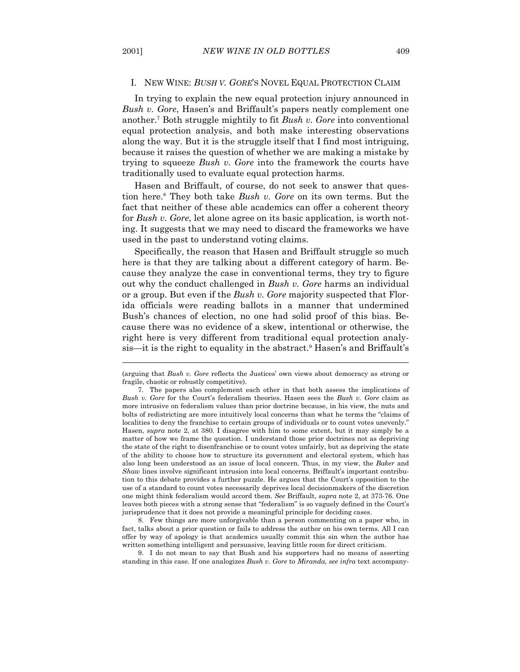#### I. NEW WINE: *BUSH V. GORE*'S NOVEL EQUAL PROTECTION CLAIM

 In trying to explain the new equal protection injury announced in *Bush v. Gore*, Hasen's and Briffault's papers neatly complement one another.7 Both struggle mightily to fit *Bush v. Gore* into conventional equal protection analysis, and both make interesting observations along the way. But it is the struggle itself that I find most intriguing, because it raises the question of whether we are making a mistake by trying to squeeze *Bush v. Gore* into the framework the courts have traditionally used to evaluate equal protection harms.

 Hasen and Briffault, of course, do not seek to answer that question here.8 They both take *Bush v. Gore* on its own terms. But the fact that neither of these able academics can offer a coherent theory for *Bush v. Gore*, let alone agree on its basic application, is worth noting. It suggests that we may need to discard the frameworks we have used in the past to understand voting claims.

 Specifically, the reason that Hasen and Briffault struggle so much here is that they are talking about a different category of harm. Because they analyze the case in conventional terms, they try to figure out why the conduct challenged in *Bush v. Gore* harms an individual or a group. But even if the *Bush v. Gore* majority suspected that Florida officials were reading ballots in a manner that undermined Bush's chances of election, no one had solid proof of this bias. Because there was no evidence of a skew, intentional or otherwise, the right here is very different from traditional equal protection analysis—it is the right to equality in the abstract.<sup>9</sup> Hasen's and Briffault's

 8. Few things are more unforgivable than a person commenting on a paper who, in fact, talks about a prior question or fails to address the author on his own terms. All I can offer by way of apology is that academics usually commit this sin when the author has written something intelligent and persuasive, leaving little room for direct criticism.

 9. I do not mean to say that Bush and his supporters had no means of asserting standing in this case. If one analogizes *Bush v*. *Gore* to *Miranda, see infra* text accompany-

<sup>(</sup>arguing that *Bush v. Gore* reflects the Justices' own views about democracy as strong or fragile, chaotic or robustly competitive).

 <sup>7.</sup> The papers also complement each other in that both assess the implications of *Bush v. Gore* for the Court's federalism theories. Hasen sees the *Bush v. Gore* claim as more intrusive on federalism values than prior doctrine because, in his view, the nuts and bolts of redistricting are more intuitively local concerns than what he terms the "claims of localities to deny the franchise to certain groups of individuals or to count votes unevenly." Hasen, *supra* note 2, at 380. I disagree with him to some extent, but it may simply be a matter of how we frame the question. I understand those prior doctrines not as depriving the state of the right to disenfranchise or to count votes unfairly, but as depriving the state of the ability to choose how to structure its government and electoral system, which has also long been understood as an issue of local concern. Thus, in my view, the *Baker* and *Shaw* lines involve significant intrusion into local concerns. Briffault's important contribution to this debate provides a further puzzle. He argues that the Court's opposition to the use of a standard to count votes necessarily deprives local decisionmakers of the discretion one might think federalism would accord them. *See* Briffault, *supra* note 2, at 373-76. One leaves both pieces with a strong sense that "federalism" is so vaguely defined in the Court's jurisprudence that it does not provide a meaningful principle for deciding cases.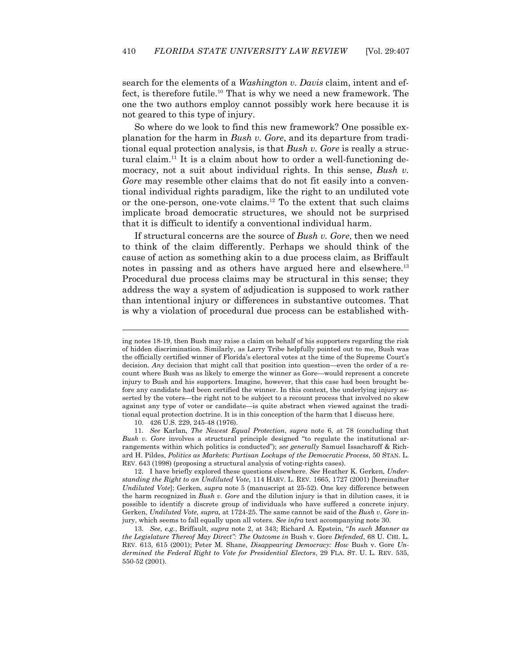search for the elements of a *Washington v. Davis* claim, intent and effect, is therefore futile.<sup>10</sup> That is why we need a new framework. The one the two authors employ cannot possibly work here because it is not geared to this type of injury.

 So where do we look to find this new framework? One possible explanation for the harm in *Bush v. Gore*, and its departure from traditional equal protection analysis, is that *Bush v. Gore* is really a structural claim.11 It is a claim about how to order a well-functioning democracy, not a suit about individual rights. In this sense, *Bush v. Gore* may resemble other claims that do not fit easily into a conventional individual rights paradigm, like the right to an undiluted vote or the one-person, one-vote claims.12 To the extent that such claims implicate broad democratic structures, we should not be surprised that it is difficult to identify a conventional individual harm.

 If structural concerns are the source of *Bush v. Gore*, then we need to think of the claim differently. Perhaps we should think of the cause of action as something akin to a due process claim, as Briffault notes in passing and as others have argued here and elsewhere.<sup>13</sup> Procedural due process claims may be structural in this sense; they address the way a system of adjudication is supposed to work rather than intentional injury or differences in substantive outcomes. That is why a violation of procedural due process can be established with-

10. 426 U.S. 229, 245-48 (1976).

 $\overline{a}$ 

 11. *See* Karlan, *The Newest Equal Protection*, *supra* note 6, at 78 (concluding that *Bush v. Gore* involves a structural principle designed "to regulate the institutional arrangements within which politics is conducted"); *see generally* Samuel Issacharoff & Richard H. Pildes, *Politics as Markets: Partisan Lockups of the Democratic Process*, 50 STAN. L. REV. 643 (1998) (proposing a structural analysis of voting-rights cases).

 12. I have briefly explored these questions elsewhere. *See* Heather K. Gerken, *Understanding the Right to an Undiluted Vote*, 114 HARV. L. REV. 1665, 1727 (2001) [hereinafter *Undiluted Vote*]; Gerken, *supra* note 5 (manuscript at 25-52). One key difference between the harm recognized in *Bush v. Gore* and the dilution injury is that in dilution cases, it is possible to identify a discrete group of individuals who have suffered a concrete injury. Gerken, *Undiluted Vote, supra,* at 1724-25. The same cannot be said of the *Bush v. Gore* injury, which seems to fall equally upon all voters. *See infra* text accompanying note 30.

 13. *See*, *e.g.*, Briffault, *supra* note 2, at 343; Richard A. Epstein, "*In such Manner as the Legislature Thereof May Direct": The Outcome in* Bush v. Gore *Defended*, 68 U. CHI. L. REV. 613, 615 (2001); Peter M. Shane, *Disappearing Democracy: How* Bush v. Gore *Undermined the Federal Right to Vote for Presidential Electors*, 29 FLA. ST. U. L. REV. 535, 550-52 (2001).

ing notes 18-19, then Bush may raise a claim on behalf of his supporters regarding the risk of hidden discrimination. Similarly, as Larry Tribe helpfully pointed out to me, Bush was the officially certified winner of Florida's electoral votes at the time of the Supreme Court's decision. *Any* decision that might call that position into question—even the order of a recount where Bush was as likely to emerge the winner as Gore—would represent a concrete injury to Bush and his supporters. Imagine, however, that this case had been brought before any candidate had been certified the winner. In this context, the underlying injury asserted by the voters—the right not to be subject to a recount process that involved no skew against any type of voter or candidate—is quite abstract when viewed against the traditional equal protection doctrine. It is in this conception of the harm that I discuss here.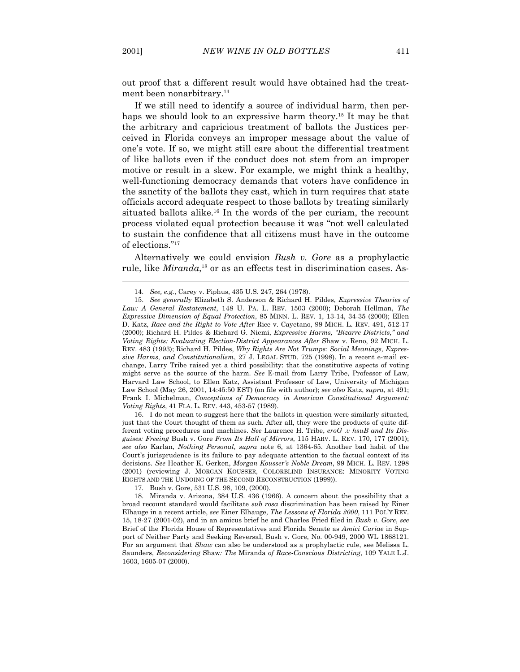out proof that a different result would have obtained had the treatment been nonarbitrary.<sup>14</sup>

 If we still need to identify a source of individual harm, then perhaps we should look to an expressive harm theory.<sup>15</sup> It may be that the arbitrary and capricious treatment of ballots the Justices perceived in Florida conveys an improper message about the value of one's vote. If so, we might still care about the differential treatment of like ballots even if the conduct does not stem from an improper motive or result in a skew. For example, we might think a healthy, well-functioning democracy demands that voters have confidence in the sanctity of the ballots they cast, which in turn requires that state officials accord adequate respect to those ballots by treating similarly situated ballots alike.<sup>16</sup> In the words of the per curiam, the recount process violated equal protection because it was "not well calculated to sustain the confidence that all citizens must have in the outcome of elections."17

 Alternatively we could envision *Bush v. Gore* as a prophylactic rule, like *Miranda*,<sup>18</sup> or as an effects test in discrimination cases. As-

 16. I do not mean to suggest here that the ballots in question were similarly situated, just that the Court thought of them as such. After all, they were the products of quite different voting procedures and machines. *See* Laurence H. Tribe, *eroG .v hsuB and Its Disguises: Freeing* Bush v. Gore *From Its Hall of Mirrors*, 115 HARV. L. REV. 170, 177 (2001); *see also* Karlan, *Nothing Personal*, *supra* note 6, at 1364-65. Another bad habit of the Court's jurisprudence is its failure to pay adequate attention to the factual context of its decisions. *See* Heather K. Gerken, *Morgan Kousser's Noble Dream*, 99 MICH. L. REV. 1298 (2001) (reviewing J. MORGAN KOUSSER, COLORBLIND INSURANCE: MINORITY VOTING RIGHTS AND THE UNDOING OF THE SECOND RECONSTRUCTION (1999)).

17. Bush v. Gore, 531 U.S. 98, 109, (2000).

 <sup>14.</sup> *See, e.g.*, Carey v. Piphus, 435 U.S. 247, 264 (1978).

 <sup>15.</sup> *See generally* Elizabeth S. Anderson & Richard H. Pildes, *Expressive Theories of Law: A General Restatement*, 148 U. PA. L. REV. 1503 (2000); Deborah Hellman, *The Expressive Dimension of Equal Protection*, 85 MINN. L. REV. 1, 13-14, 34-35 (2000); Ellen D. Katz, *Race and the Right to Vote After* Rice v. Cayetano, 99 MICH. L. REV. 491, 512-17 (2000); Richard H. Pildes & Richard G. Niemi, *Expressive Harms, "Bizarre Districts," and Voting Rights: Evaluating Election-District Appearances After* Shaw v. Reno, 92 MICH. L. REV. 483 (1993); Richard H. Pildes, *Why Rights Are Not Trumps: Social Meanings, Expressive Harms, and Constitutionalism*, 27 J. LEGAL STUD. 725 (1998). In a recent e-mail exchange, Larry Tribe raised yet a third possibility: that the constitutive aspects of voting might serve as the source of the harm. *See* E-mail from Larry Tribe, Professor of Law, Harvard Law School, to Ellen Katz, Assistant Professor of Law, University of Michigan Law School (May 26, 2001, 14:45:50 EST) (on file with author); *see also* Katz, *supra*, at 491; Frank I. Michelman, *Conceptions of Democracy in American Constitutional Argument: Voting Rights*, 41 FLA. L. REV. 443, 453-57 (1989).

 <sup>18.</sup> Miranda v. Arizona, 384 U.S. 436 (1966). A concern about the possibility that a broad recount standard would facilitate *sub rosa* discrimination has been raised by Einer Elhauge in a recent article, *see* Einer Elhauge, *The Lessons of Florida 2000*, 111 POL'Y REV. 15, 18-27 (2001-02), and in an amicus brief he and Charles Fried filed in *Bush v*. *Gore*, *see* Brief of the Florida House of Representatives and Florida Senate as *Amici Curiae* in Support of Neither Party and Seeking Reversal, Bush v. Gore, No. 00-949, 2000 WL 1868121. For an argument that *Shaw* can also be understood as a prophylactic rule, see Melissa L. Saunders, *Reconsidering* Shaw*: The* Miranda *of Race-Conscious Districting*, 109 YALE L.J. 1603, 1605-07 (2000).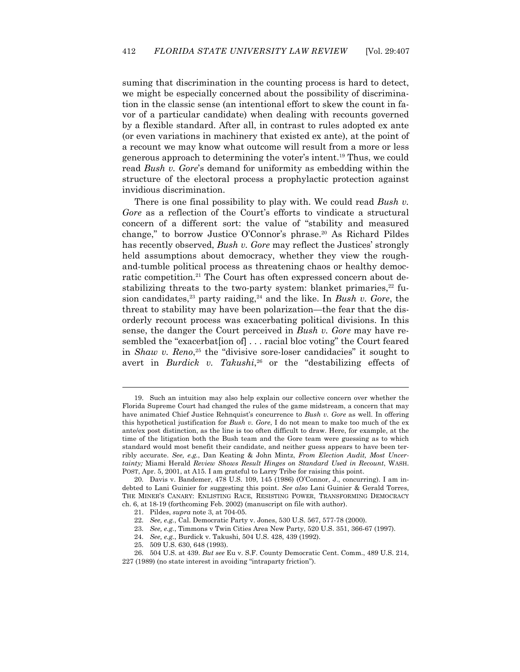suming that discrimination in the counting process is hard to detect, we might be especially concerned about the possibility of discrimination in the classic sense (an intentional effort to skew the count in favor of a particular candidate) when dealing with recounts governed by a flexible standard. After all, in contrast to rules adopted ex ante (or even variations in machinery that existed ex ante), at the point of a recount we may know what outcome will result from a more or less generous approach to determining the voter's intent.19 Thus, we could read *Bush v. Gore*'s demand for uniformity as embedding within the structure of the electoral process a prophylactic protection against invidious discrimination.

 There is one final possibility to play with. We could read *Bush v. Gore* as a reflection of the Court's efforts to vindicate a structural concern of a different sort: the value of "stability and measured change," to borrow Justice O'Connor's phrase.20 As Richard Pildes has recently observed, *Bush v. Gore* may reflect the Justices' strongly held assumptions about democracy, whether they view the roughand-tumble political process as threatening chaos or healthy democratic competition.<sup>21</sup> The Court has often expressed concern about destabilizing threats to the two-party system: blanket primaries, $22$  fusion candidates,<sup>23</sup> party raiding,<sup>24</sup> and the like. In *Bush v. Gore*, the threat to stability may have been polarization—the fear that the disorderly recount process was exacerbating political divisions. In this sense, the danger the Court perceived in *Bush v. Gore* may have resembled the "exacerbat<sup>[ion of]</sup> ... racial bloc voting" the Court feared in *Shaw v. Reno*, 25 the "divisive sore-loser candidacies" it sought to avert in *Burdick v. Takushi*, 26 or the "destabilizing effects of

23. *See, e.g.*, Timmons v Twin Cities Area New Party, 520 U.S. 351, 366-67 (1997).

25. 509 U.S. 630, 648 (1993).

 <sup>19.</sup> Such an intuition may also help explain our collective concern over whether the Florida Supreme Court had changed the rules of the game midstream, a concern that may have animated Chief Justice Rehnquist's concurrence to *Bush v. Gore* as well. In offering this hypothetical justification for *Bush v. Gore*, I do not mean to make too much of the ex ante/ex post distinction, as the line is too often difficult to draw. Here, for example, at the time of the litigation both the Bush team and the Gore team were guessing as to which standard would most benefit their candidate, and neither guess appears to have been terribly accurate. *See, e.g.*, Dan Keating & John Mintz, *From Election Audit, Most Uncertainty;* Miami Herald *Review Shows Result Hinges on Standard Used in Recount*, WASH. POST, Apr. 5, 2001, at A15. I am grateful to Larry Tribe for raising this point.

 <sup>20.</sup> Davis v. Bandemer, 478 U.S. 109, 145 (1986) (O'Connor, J., concurring). I am indebted to Lani Guinier for suggesting this point. *See also* Lani Guinier & Gerald Torres, THE MINER'S CANARY: ENLISTING RACE, RESISTING POWER, TRANSFORMING DEMOCRACY ch. 6, at 18-19 (forthcoming Feb. 2002) (manuscript on file with author).

 <sup>21.</sup> Pildes, *supra* note 3, at 704-05.

 <sup>22.</sup> *See, e.g.*, Cal. Democratic Party v. Jones, 530 U.S. 567, 577-78 (2000).

 <sup>24.</sup> *See, e.g.*, Burdick v. Takushi, 504 U.S. 428, 439 (1992).

 <sup>26. 504</sup> U.S. at 439. *But see* Eu v. S.F. County Democratic Cent. Comm., 489 U.S. 214, 227 (1989) (no state interest in avoiding "intraparty friction").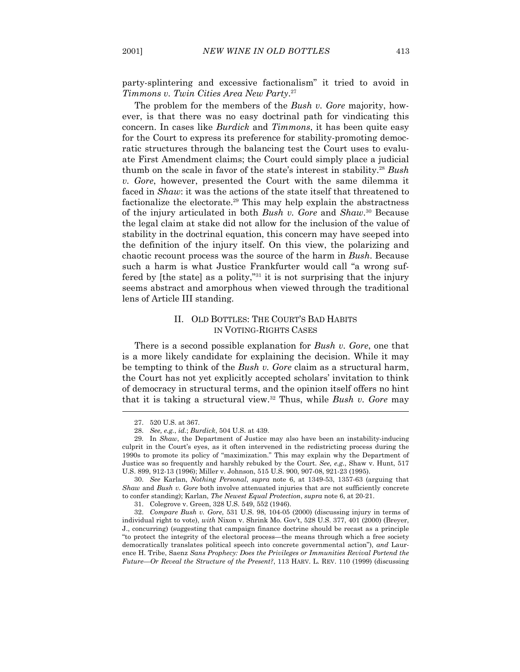party-splintering and excessive factionalism" it tried to avoid in *Timmons v. Twin Cities Area New Party*. 27

 The problem for the members of the *Bush v. Gore* majority, however, is that there was no easy doctrinal path for vindicating this concern. In cases like *Burdick* and *Timmons*, it has been quite easy for the Court to express its preference for stability-promoting democratic structures through the balancing test the Court uses to evaluate First Amendment claims; the Court could simply place a judicial thumb on the scale in favor of the state's interest in stability.28 *Bush v. Gore*, however, presented the Court with the same dilemma it faced in *Shaw*: it was the actions of the state itself that threatened to factionalize the electorate.29 This may help explain the abstractness of the injury articulated in both *Bush v. Gore* and *Shaw*. 30 Because the legal claim at stake did not allow for the inclusion of the value of stability in the doctrinal equation, this concern may have seeped into the definition of the injury itself. On this view, the polarizing and chaotic recount process was the source of the harm in *Bush*. Because such a harm is what Justice Frankfurter would call "a wrong suffered by [the state] as a polity,"31 it is not surprising that the injury seems abstract and amorphous when viewed through the traditional lens of Article III standing.

## II. OLD BOTTLES: THE COURT'S BAD HABITS IN VOTING-RIGHTS CASES

 There is a second possible explanation for *Bush v. Gore*, one that is a more likely candidate for explaining the decision. While it may be tempting to think of the *Bush v. Gore* claim as a structural harm, the Court has not yet explicitly accepted scholars' invitation to think of democracy in structural terms, and the opinion itself offers no hint that it is taking a structural view.32 Thus, while *Bush v. Gore* may

 <sup>27. 520</sup> U.S. at 367.

 <sup>28.</sup> *See, e.g.*, *id.*; *Burdick*, 504 U.S. at 439.

 <sup>29.</sup> In *Shaw*, the Department of Justice may also have been an instability-inducing culprit in the Court's eyes, as it often intervened in the redistricting process during the 1990s to promote its policy of "maximization." This may explain why the Department of Justice was so frequently and harshly rebuked by the Court. *See, e.g.*, Shaw v. Hunt, 517 U.S. 899, 912-13 (1996); Miller v. Johnson, 515 U.S. 900, 907-08, 921-23 (1995).

 <sup>30.</sup> *See* Karlan, *Nothing Personal*, *supra* note 6, at 1349-53, 1357-63 (arguing that *Shaw* and *Bush v. Gore* both involve attenuated injuries that are not sufficiently concrete to confer standing); Karlan, *The Newest Equal Protection*, *supra* note 6, at 20-21.

 <sup>31.</sup> Colegrove v. Green, 328 U.S. 549, 552 (1946).

 <sup>32.</sup> *Compare Bush v. Gore*, 531 U.S. 98, 104-05 (2000) (discussing injury in terms of individual right to vote), *with* Nixon v. Shrink Mo. Gov't, 528 U.S. 377, 401 (2000) (Breyer, J., concurring) (suggesting that campaign finance doctrine should be recast as a principle "to protect the integrity of the electoral process—the means through which a free society democratically translates political speech into concrete governmental action"), *and* Laurence H. Tribe, Saenz *Sans Prophecy: Does the Privileges or Immunities Revival Portend the Future—Or Reveal the Structure of the Present?*, 113 HARV. L. REV. 110 (1999) (discussing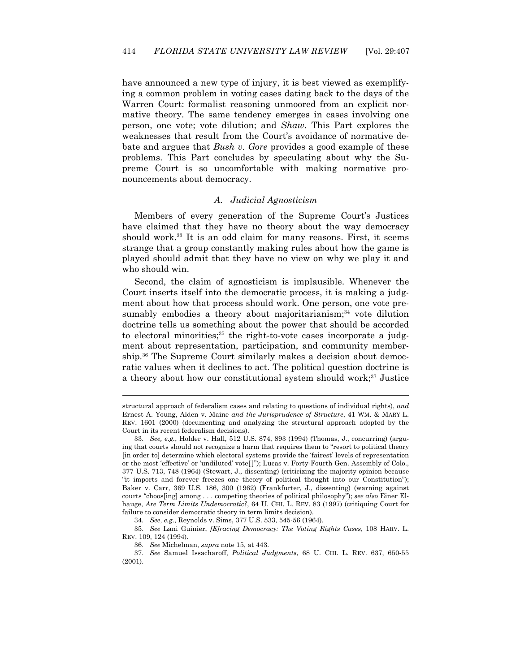have announced a new type of injury, it is best viewed as exemplifying a common problem in voting cases dating back to the days of the Warren Court: formalist reasoning unmoored from an explicit normative theory. The same tendency emerges in cases involving one person, one vote; vote dilution; and *Shaw*. This Part explores the weaknesses that result from the Court's avoidance of normative debate and argues that *Bush v. Gore* provides a good example of these problems. This Part concludes by speculating about why the Supreme Court is so uncomfortable with making normative pronouncements about democracy.

### *A. Judicial Agnosticism*

 Members of every generation of the Supreme Court's Justices have claimed that they have no theory about the way democracy should work.<sup>33</sup> It is an odd claim for many reasons. First, it seems strange that a group constantly making rules about how the game is played should admit that they have no view on why we play it and who should win.

 Second, the claim of agnosticism is implausible. Whenever the Court inserts itself into the democratic process, it is making a judgment about how that process should work. One person, one vote presumably embodies a theory about majoritarianism; $34$  vote dilution doctrine tells us something about the power that should be accorded to electoral minorities;<sup>35</sup> the right-to-vote cases incorporate a judgment about representation, participation, and community membership.36 The Supreme Court similarly makes a decision about democratic values when it declines to act. The political question doctrine is a theory about how our constitutional system should work;<sup>37</sup> Justice

structural approach of federalism cases and relating to questions of individual rights), *and* Ernest A. Young, Alden v. Maine *and the Jurisprudence of Structure*, 41 WM. & MARY L. REV. 1601 (2000) (documenting and analyzing the structural approach adopted by the Court in its recent federalism decisions).

 <sup>33.</sup> *See, e.g.*, Holder v. Hall, 512 U.S. 874, 893 (1994) (Thomas, J., concurring) (arguing that courts should not recognize a harm that requires them to "resort to political theory [in order to] determine which electoral systems provide the 'fairest' levels of representation or the most 'effective' or 'undiluted' vote[ ]"); Lucas v. Forty-Fourth Gen. Assembly of Colo., 377 U.S. 713, 748 (1964) (Stewart, J., dissenting) (criticizing the majority opinion because "it imports and forever freezes one theory of political thought into our Constitution"); Baker v. Carr, 369 U.S. 186, 300 (1962) (Frankfurter, J., dissenting) (warning against courts "choos[ing] among . . . competing theories of political philosophy"); *see also* Einer Elhauge, *Are Term Limits Undemocratic?*, 64 U. CHI. L. REV. 83 (1997) (critiquing Court for failure to consider democratic theory in term limits decision).

 <sup>34.</sup> *See, e.g.*, Reynolds v. Sims, 377 U.S. 533, 545-56 (1964).

 <sup>35.</sup> *See* Lani Guinier, *[E]racing Democracy: The Voting Rights Cases*, 108 HARV. L. REV. 109, 124 (1994).

 <sup>36.</sup> *See* Michelman, *supra* note 15, at 443.

 <sup>37.</sup> *See* Samuel Issacharoff, *Political Judgments*, 68 U. CHI. L. REV. 637, 650-55 (2001).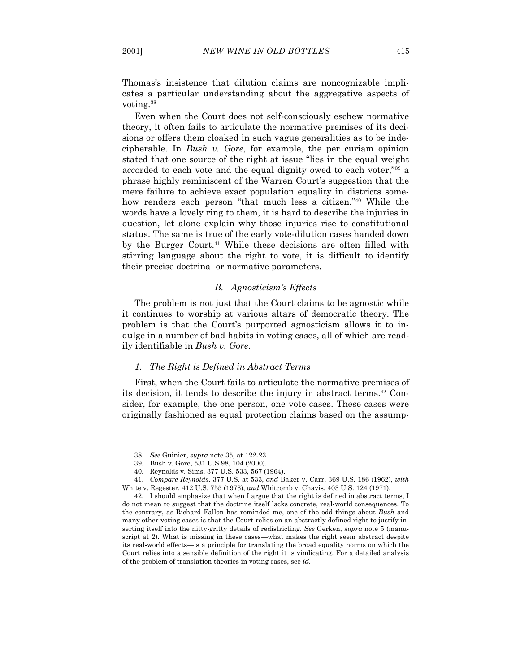Thomas's insistence that dilution claims are noncognizable implicates a particular understanding about the aggregative aspects of voting.38

 Even when the Court does not self-consciously eschew normative theory, it often fails to articulate the normative premises of its decisions or offers them cloaked in such vague generalities as to be indecipherable. In *Bush v. Gore*, for example, the per curiam opinion stated that one source of the right at issue "lies in the equal weight accorded to each vote and the equal dignity owed to each voter,"39 a phrase highly reminiscent of the Warren Court's suggestion that the mere failure to achieve exact population equality in districts somehow renders each person "that much less a citizen."40 While the words have a lovely ring to them, it is hard to describe the injuries in question, let alone explain why those injuries rise to constitutional status. The same is true of the early vote-dilution cases handed down by the Burger Court.<sup>41</sup> While these decisions are often filled with stirring language about the right to vote, it is difficult to identify their precise doctrinal or normative parameters.

## *B. Agnosticism's Effects*

 The problem is not just that the Court claims to be agnostic while it continues to worship at various altars of democratic theory. The problem is that the Court's purported agnosticism allows it to indulge in a number of bad habits in voting cases, all of which are readily identifiable in *Bush v. Gore*.

#### *1. The Right is Defined in Abstract Terms*

 First, when the Court fails to articulate the normative premises of its decision, it tends to describe the injury in abstract terms.42 Consider, for example, the one person, one vote cases. These cases were originally fashioned as equal protection claims based on the assump-

 <sup>38.</sup> *See* Guinier, *supra* note 35, at 122-23.

 <sup>39.</sup> Bush v. Gore, 531 U.S 98, 104 (2000).

 <sup>40.</sup> Reynolds v. Sims, 377 U.S. 533, 567 (1964).

 <sup>41.</sup> *Compare Reynolds*, 377 U.S. at 533, *and* Baker v. Carr, 369 U.S. 186 (1962), *with*  White v. Regester, 412 U.S. 755 (1973), *and* Whitcomb v. Chavis, 403 U.S. 124 (1971).

 <sup>42.</sup> I should emphasize that when I argue that the right is defined in abstract terms, I do not mean to suggest that the doctrine itself lacks concrete, real-world consequences. To the contrary, as Richard Fallon has reminded me, one of the odd things about *Bush* and many other voting cases is that the Court relies on an abstractly defined right to justify inserting itself into the nitty-gritty details of redistricting. *See* Gerken, *supra* note 5 (manuscript at 2). What is missing in these cases—what makes the right seem abstract despite its real-world effects—is a principle for translating the broad equality norms on which the Court relies into a sensible definition of the right it is vindicating. For a detailed analysis of the problem of translation theories in voting cases, see *id.*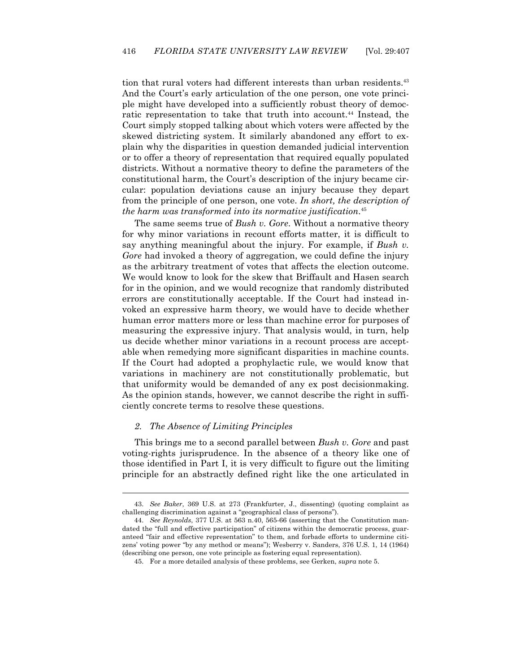tion that rural voters had different interests than urban residents.<sup>43</sup> And the Court's early articulation of the one person, one vote principle might have developed into a sufficiently robust theory of democratic representation to take that truth into account.<sup>44</sup> Instead, the Court simply stopped talking about which voters were affected by the skewed districting system. It similarly abandoned any effort to explain why the disparities in question demanded judicial intervention or to offer a theory of representation that required equally populated districts. Without a normative theory to define the parameters of the constitutional harm, the Court's description of the injury became circular: population deviations cause an injury because they depart from the principle of one person, one vote. *In short, the description of the harm was transformed into its normative justification*. 45

 The same seems true of *Bush v. Gore*. Without a normative theory for why minor variations in recount efforts matter, it is difficult to say anything meaningful about the injury. For example, if *Bush v. Gore* had invoked a theory of aggregation, we could define the injury as the arbitrary treatment of votes that affects the election outcome. We would know to look for the skew that Briffault and Hasen search for in the opinion, and we would recognize that randomly distributed errors are constitutionally acceptable. If the Court had instead invoked an expressive harm theory, we would have to decide whether human error matters more or less than machine error for purposes of measuring the expressive injury. That analysis would, in turn, help us decide whether minor variations in a recount process are acceptable when remedying more significant disparities in machine counts. If the Court had adopted a prophylactic rule, we would know that variations in machinery are not constitutionally problematic, but that uniformity would be demanded of any ex post decisionmaking. As the opinion stands, however, we cannot describe the right in sufficiently concrete terms to resolve these questions.

### *2. The Absence of Limiting Principles*

 $\overline{a}$ 

 This brings me to a second parallel between *Bush v. Gore* and past voting-rights jurisprudence. In the absence of a theory like one of those identified in Part I, it is very difficult to figure out the limiting principle for an abstractly defined right like the one articulated in

 <sup>43.</sup> *See Baker*, 369 U.S. at 273 (Frankfurter, J., dissenting) (quoting complaint as challenging discrimination against a "geographical class of persons").

 <sup>44.</sup> *See Reynolds*, 377 U.S. at 563 n.40, 565-66 (asserting that the Constitution mandated the "full and effective participation" of citizens within the democratic process, guaranteed "fair and effective representation" to them, and forbade efforts to undermine citizens' voting power "by any method or means"); Wesberry v. Sanders, 376 U.S. 1, 14 (1964) (describing one person, one vote principle as fostering equal representation).

 <sup>45.</sup> For a more detailed analysis of these problems, see Gerken, *supra* note 5.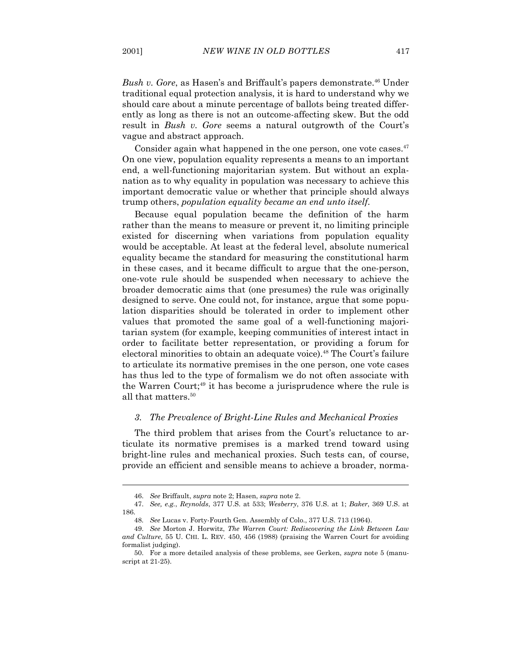*Bush v. Gore*, as Hasen's and Briffault's papers demonstrate.46 Under traditional equal protection analysis, it is hard to understand why we should care about a minute percentage of ballots being treated differently as long as there is not an outcome-affecting skew. But the odd result in *Bush v. Gore* seems a natural outgrowth of the Court's vague and abstract approach.

Consider again what happened in the one person, one vote cases. $47$ On one view, population equality represents a means to an important end, a well-functioning majoritarian system. But without an explanation as to why equality in population was necessary to achieve this important democratic value or whether that principle should always trump others, *population equality became an end unto itself*.

 Because equal population became the definition of the harm rather than the means to measure or prevent it, no limiting principle existed for discerning when variations from population equality would be acceptable. At least at the federal level, absolute numerical equality became the standard for measuring the constitutional harm in these cases, and it became difficult to argue that the one-person, one-vote rule should be suspended when necessary to achieve the broader democratic aims that (one presumes) the rule was originally designed to serve. One could not, for instance, argue that some population disparities should be tolerated in order to implement other values that promoted the same goal of a well-functioning majoritarian system (for example, keeping communities of interest intact in order to facilitate better representation, or providing a forum for electoral minorities to obtain an adequate voice).<sup>48</sup> The Court's failure to articulate its normative premises in the one person, one vote cases has thus led to the type of formalism we do not often associate with the Warren Court;<sup>49</sup> it has become a jurisprudence where the rule is all that matters.50

#### *3. The Prevalence of Bright-Line Rules and Mechanical Proxies*

 The third problem that arises from the Court's reluctance to articulate its normative premises is a marked trend toward using bright-line rules and mechanical proxies. Such tests can, of course, provide an efficient and sensible means to achieve a broader, norma-

 <sup>46.</sup> *See* Briffault, *supra* note 2; Hasen, *supra* note 2.

 <sup>47.</sup> *See, e.g.*, *Reynolds*, 377 U.S. at 533; *Wesberry*, 376 U.S. at 1; *Baker*, 369 U.S. at 186.

 <sup>48.</sup> *See* Lucas v. Forty-Fourth Gen. Assembly of Colo., 377 U.S. 713 (1964).

 <sup>49.</sup> *See* Morton J. Horwitz, *The Warren Court: Rediscovering the Link Between Law and Culture*, 55 U. CHI. L. REV. 450, 456 (1988) (praising the Warren Court for avoiding formalist judging).

 <sup>50.</sup> For a more detailed analysis of these problems, see Gerken, *supra* note 5 (manuscript at 21-25).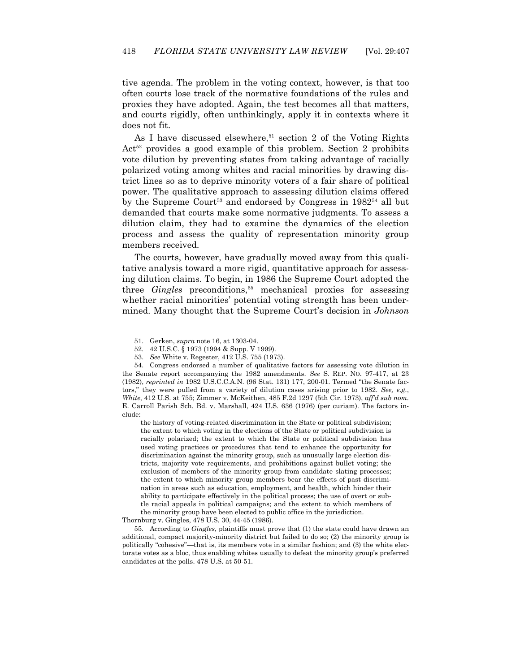tive agenda. The problem in the voting context, however, is that too often courts lose track of the normative foundations of the rules and proxies they have adopted. Again, the test becomes all that matters, and courts rigidly, often unthinkingly, apply it in contexts where it does not fit.

As I have discussed elsewhere,<sup>51</sup> section 2 of the Voting Rights  $Act<sup>52</sup>$  provides a good example of this problem. Section 2 prohibits vote dilution by preventing states from taking advantage of racially polarized voting among whites and racial minorities by drawing district lines so as to deprive minority voters of a fair share of political power. The qualitative approach to assessing dilution claims offered by the Supreme Court<sup>53</sup> and endorsed by Congress in  $1982^{54}$  all but demanded that courts make some normative judgments. To assess a dilution claim, they had to examine the dynamics of the election process and assess the quality of representation minority group members received.

 The courts, however, have gradually moved away from this qualitative analysis toward a more rigid, quantitative approach for assessing dilution claims. To begin, in 1986 the Supreme Court adopted the three *Gingles* preconditions,<sup>55</sup> mechanical proxies for assessing whether racial minorities' potential voting strength has been undermined. Many thought that the Supreme Court's decision in *Johnson* 

-

the history of voting-related discrimination in the State or political subdivision; the extent to which voting in the elections of the State or political subdivision is racially polarized; the extent to which the State or political subdivision has used voting practices or procedures that tend to enhance the opportunity for discrimination against the minority group, such as unusually large election districts, majority vote requirements, and prohibitions against bullet voting; the exclusion of members of the minority group from candidate slating processes; the extent to which minority group members bear the effects of past discrimination in areas such as education, employment, and health, which hinder their ability to participate effectively in the political process; the use of overt or subtle racial appeals in political campaigns; and the extent to which members of the minority group have been elected to public office in the jurisdiction.

Thornburg v. Gingles, 478 U.S. 30, 44-45 (1986).

 55. According to *Gingles*, plaintiffs must prove that (1) the state could have drawn an additional, compact majority-minority district but failed to do so; (2) the minority group is politically "cohesive"—that is, its members vote in a similar fashion; and (3) the white electorate votes as a bloc, thus enabling whites usually to defeat the minority group's preferred candidates at the polls. 478 U.S. at 50-51.

 <sup>51.</sup> Gerken, *supra* note 16, at 1303-04.

 <sup>52. 42</sup> U.S.C. § 1973 (1994 & Supp. V 1999).

 <sup>53.</sup> *See* White v. Regester, 412 U.S. 755 (1973).

 <sup>54.</sup> Congress endorsed a number of qualitative factors for assessing vote dilution in the Senate report accompanying the 1982 amendments. *See* S. REP. NO. 97-417, at 23 (1982), *reprinted in* 1982 U.S.C.C.A.N. (96 Stat. 131) 177, 200-01. Termed "the Senate factors," they were pulled from a variety of dilution cases arising prior to 1982. *See, e.g.*, *White*, 412 U.S. at 755; Zimmer v. McKeithen, 485 F.2d 1297 (5th Cir. 1973), *aff'd sub nom.* E. Carroll Parish Sch. Bd. v. Marshall, 424 U.S. 636 (1976) (per curiam). The factors include: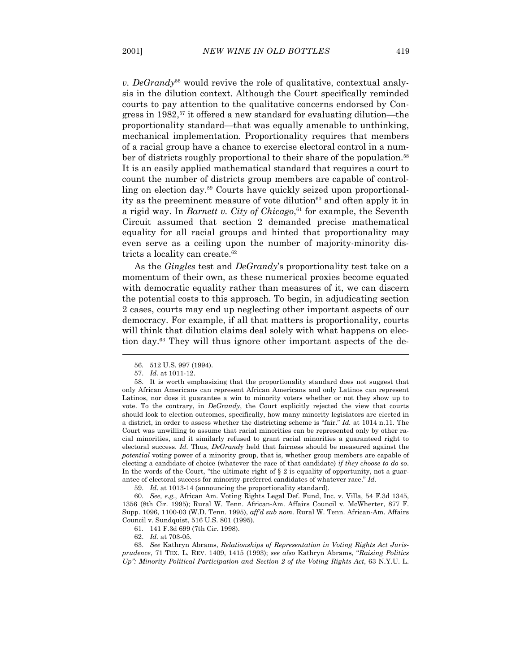*v. DeGrandy*56 would revive the role of qualitative, contextual analysis in the dilution context. Although the Court specifically reminded courts to pay attention to the qualitative concerns endorsed by Congress in  $1982$ ,<sup>57</sup> it offered a new standard for evaluating dilution—the proportionality standard—that was equally amenable to unthinking, mechanical implementation. Proportionality requires that members of a racial group have a chance to exercise electoral control in a number of districts roughly proportional to their share of the population.<sup>58</sup> It is an easily applied mathematical standard that requires a court to count the number of districts group members are capable of controlling on election day.59 Courts have quickly seized upon proportionality as the preeminent measure of vote dilution $60$  and often apply it in a rigid way. In *Barnett v. City of Chicago*, 61 for example, the Seventh Circuit assumed that section 2 demanded precise mathematical equality for all racial groups and hinted that proportionality may even serve as a ceiling upon the number of majority-minority districts a locality can create.62

 As the *Gingles* test and *DeGrandy*'s proportionality test take on a momentum of their own, as these numerical proxies become equated with democratic equality rather than measures of it, we can discern the potential costs to this approach. To begin, in adjudicating section 2 cases, courts may end up neglecting other important aspects of our democracy. For example, if all that matters is proportionality, courts will think that dilution claims deal solely with what happens on election day.63 They will thus ignore other important aspects of the de-

 $\overline{a}$ 

59. *Id*. at 1013-14 (announcing the proportionality standard).

 60. *See, e.g.*, African Am. Voting Rights Legal Def. Fund, Inc. v. Villa, 54 F.3d 1345, 1356 (8th Cir. 1995); Rural W. Tenn. African-Am. Affairs Council v. McWherter, 877 F. Supp. 1096, 1100-03 (W.D. Tenn. 1995), *aff'd sub nom.* Rural W. Tenn. African-Am. Affairs Council v. Sundquist, 516 U.S. 801 (1995).

 <sup>56. 512</sup> U.S. 997 (1994).

 <sup>57.</sup> *Id.* at 1011-12.

 <sup>58.</sup> It is worth emphasizing that the proportionality standard does not suggest that only African Americans can represent African Americans and only Latinos can represent Latinos, nor does it guarantee a win to minority voters whether or not they show up to vote. To the contrary, in *DeGrandy*, the Court explicitly rejected the view that courts should look to election outcomes, specifically, how many minority legislators are elected in a district, in order to assess whether the districting scheme is "fair." *Id.* at 1014 n.11. The Court was unwilling to assume that racial minorities can be represented only by other racial minorities, and it similarly refused to grant racial minorities a guaranteed right to electoral success. *Id.* Thus, *DeGrandy* held that fairness should be measured against the *potential* voting power of a minority group, that is, whether group members are capable of electing a candidate of choice (whatever the race of that candidate) *if they choose to do so*. In the words of the Court, "the ultimate right of  $\S 2$  is equality of opportunity, not a guarantee of electoral success for minority-preferred candidates of whatever race." *Id.* 

 <sup>61. 141</sup> F.3d 699 (7th Cir. 1998).

 <sup>62.</sup> *Id.* at 703-05.

 <sup>63.</sup> *See* Kathryn Abrams, *Relationships of Representation in Voting Rights Act Jurisprudence*, 71 TEX. L. REV. 1409, 1415 (1993); *see also* Kathryn Abrams, "*Raising Politics Up": Minority Political Participation and Section 2 of the Voting Rights Act*, 63 N.Y.U. L.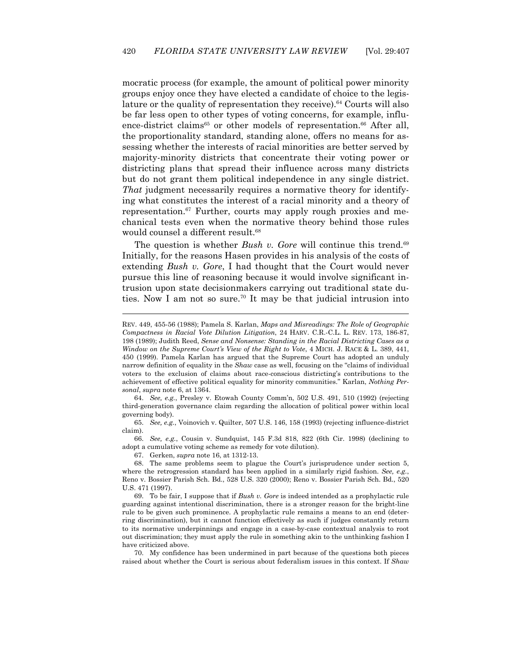mocratic process (for example, the amount of political power minority groups enjoy once they have elected a candidate of choice to the legislature or the quality of representation they receive).<sup>64</sup> Courts will also be far less open to other types of voting concerns, for example, influence-district claims<sup>65</sup> or other models of representation.<sup>66</sup> After all, the proportionality standard, standing alone, offers no means for assessing whether the interests of racial minorities are better served by majority-minority districts that concentrate their voting power or districting plans that spread their influence across many districts but do not grant them political independence in any single district. *That* judgment necessarily requires a normative theory for identifying what constitutes the interest of a racial minority and a theory of representation.<sup>67</sup> Further, courts may apply rough proxies and mechanical tests even when the normative theory behind those rules would counsel a different result.<sup>68</sup>

The question is whether *Bush v. Gore* will continue this trend.<sup>69</sup> Initially, for the reasons Hasen provides in his analysis of the costs of extending *Bush v. Gore*, I had thought that the Court would never pursue this line of reasoning because it would involve significant intrusion upon state decisionmakers carrying out traditional state duties. Now I am not so sure.70 It may be that judicial intrusion into

 64. *See, e.g.*, Presley v. Etowah County Comm'n, 502 U.S. 491, 510 (1992) (rejecting third-generation governance claim regarding the allocation of political power within local governing body).

 65. *See, e.g.*, Voinovich v. Quilter, 507 U.S. 146, 158 (1993) (rejecting influence-district claim).

 66. *See, e.g.*, Cousin v. Sundquist, 145 F.3d 818, 822 (6th Cir. 1998) (declining to adopt a cumulative voting scheme as remedy for vote dilution).

67. Gerken, *supra* note 16, at 1312-13.

 $\overline{a}$ 

 68. The same problems seem to plague the Court's jurisprudence under section 5, where the retrogression standard has been applied in a similarly rigid fashion. *See, e.g.*, Reno v. Bossier Parish Sch. Bd., 528 U.S. 320 (2000); Reno v. Bossier Parish Sch. Bd., 520 U.S. 471 (1997).

 69. To be fair, I suppose that if *Bush v. Gore* is indeed intended as a prophylactic rule guarding against intentional discrimination, there is a stronger reason for the bright-line rule to be given such prominence. A prophylactic rule remains a means to an end (deterring discrimination), but it cannot function effectively as such if judges constantly return to its normative underpinnings and engage in a case-by-case contextual analysis to root out discrimination; they must apply the rule in something akin to the unthinking fashion I have criticized above.

 70. My confidence has been undermined in part because of the questions both pieces raised about whether the Court is serious about federalism issues in this context. If *Shaw*

REV. 449, 455-56 (1988); Pamela S. Karlan, *Maps and Misreadings: The Role of Geographic Compactness in Racial Vote Dilution Litigation*, 24 HARV. C.R.-C.L. L. REV. 173, 186-87, 198 (1989); Judith Reed, *Sense and Nonsense: Standing in the Racial Districting Cases as a Window on the Supreme Court's View of the Right to Vote*, 4 MICH. J. RACE & L. 389, 441, 450 (1999). Pamela Karlan has argued that the Supreme Court has adopted an unduly narrow definition of equality in the *Shaw* case as well, focusing on the "claims of individual voters to the exclusion of claims about race-conscious districting's contributions to the achievement of effective political equality for minority communities." Karlan, *Nothing Personal*, *supra* note 6, at 1364.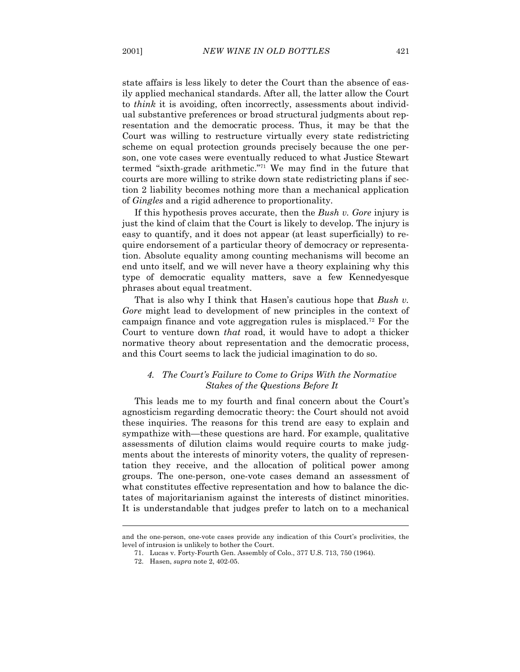state affairs is less likely to deter the Court than the absence of easily applied mechanical standards. After all, the latter allow the Court to *think* it is avoiding, often incorrectly, assessments about individual substantive preferences or broad structural judgments about representation and the democratic process. Thus, it may be that the Court was willing to restructure virtually every state redistricting scheme on equal protection grounds precisely because the one person, one vote cases were eventually reduced to what Justice Stewart termed "sixth-grade arithmetic."71 We may find in the future that courts are more willing to strike down state redistricting plans if section 2 liability becomes nothing more than a mechanical application of *Gingles* and a rigid adherence to proportionality.

 If this hypothesis proves accurate, then the *Bush v. Gore* injury is just the kind of claim that the Court is likely to develop. The injury is easy to quantify, and it does not appear (at least superficially) to require endorsement of a particular theory of democracy or representation. Absolute equality among counting mechanisms will become an end unto itself, and we will never have a theory explaining why this type of democratic equality matters, save a few Kennedyesque phrases about equal treatment.

 That is also why I think that Hasen's cautious hope that *Bush v. Gore* might lead to development of new principles in the context of campaign finance and vote aggregation rules is misplaced.72 For the Court to venture down *that* road, it would have to adopt a thicker normative theory about representation and the democratic process, and this Court seems to lack the judicial imagination to do so.

# *4. The Court's Failure to Come to Grips With the Normative Stakes of the Questions Before It*

 This leads me to my fourth and final concern about the Court's agnosticism regarding democratic theory: the Court should not avoid these inquiries. The reasons for this trend are easy to explain and sympathize with—these questions are hard. For example, qualitative assessments of dilution claims would require courts to make judgments about the interests of minority voters, the quality of representation they receive, and the allocation of political power among groups. The one-person, one-vote cases demand an assessment of what constitutes effective representation and how to balance the dictates of majoritarianism against the interests of distinct minorities. It is understandable that judges prefer to latch on to a mechanical

and the one-person, one-vote cases provide any indication of this Court's proclivities, the level of intrusion is unlikely to bother the Court.

 <sup>71.</sup> Lucas v. Forty-Fourth Gen. Assembly of Colo., 377 U.S. 713, 750 (1964).

 <sup>72.</sup> Hasen, *supra* note 2, 402-05.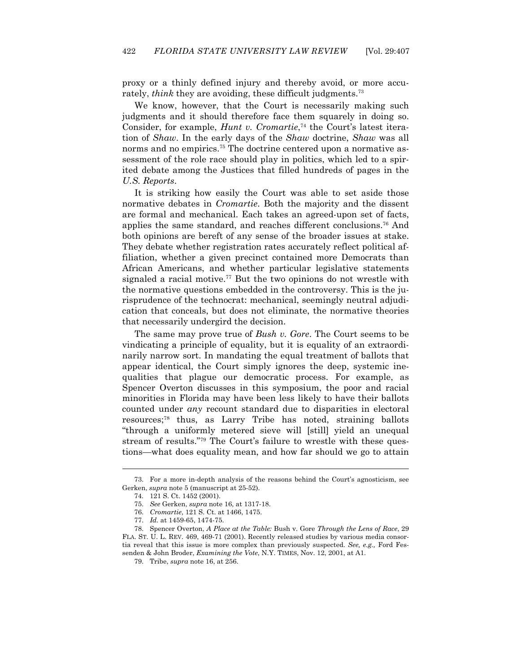proxy or a thinly defined injury and thereby avoid, or more accurately, *think* they are avoiding, these difficult judgments.<sup>73</sup>

 We know, however, that the Court is necessarily making such judgments and it should therefore face them squarely in doing so. Consider, for example, *Hunt v. Cromartie*, 74 the Court's latest iteration of *Shaw*. In the early days of the *Shaw* doctrine, *Shaw* was all norms and no empirics.<sup>75</sup> The doctrine centered upon a normative assessment of the role race should play in politics, which led to a spirited debate among the Justices that filled hundreds of pages in the *U.S. Reports*.

 It is striking how easily the Court was able to set aside those normative debates in *Cromartie*. Both the majority and the dissent are formal and mechanical. Each takes an agreed-upon set of facts, applies the same standard, and reaches different conclusions.76 And both opinions are bereft of any sense of the broader issues at stake. They debate whether registration rates accurately reflect political affiliation, whether a given precinct contained more Democrats than African Americans, and whether particular legislative statements signaled a racial motive.<sup>77</sup> But the two opinions do not wrestle with the normative questions embedded in the controversy. This is the jurisprudence of the technocrat: mechanical, seemingly neutral adjudication that conceals, but does not eliminate, the normative theories that necessarily undergird the decision.

 The same may prove true of *Bush v. Gore*. The Court seems to be vindicating a principle of equality, but it is equality of an extraordinarily narrow sort. In mandating the equal treatment of ballots that appear identical, the Court simply ignores the deep, systemic inequalities that plague our democratic process. For example, as Spencer Overton discusses in this symposium, the poor and racial minorities in Florida may have been less likely to have their ballots counted under *any* recount standard due to disparities in electoral resources;78 thus, as Larry Tribe has noted, straining ballots "through a uniformly metered sieve will [still] yield an unequal stream of results."79 The Court's failure to wrestle with these questions—what does equality mean, and how far should we go to attain

 <sup>73.</sup> For a more in-depth analysis of the reasons behind the Court's agnosticism, see Gerken, *supra* note 5 (manuscript at 25-52).

 <sup>74. 121</sup> S. Ct. 1452 (2001).

 <sup>75.</sup> *See* Gerken, *supra* note 16, at 1317-18.

 <sup>76.</sup> *Cromartie*, 121 S. Ct. at 1466, 1475.

 <sup>77.</sup> *Id.* at 1459-65, 1474-75.

 <sup>78.</sup> Spencer Overton, *A Place at the Table:* Bush v. Gore *Through the Lens of Race*, 29 FLA. ST. U. L. REV. 469, 469-71 (2001). Recently released studies by various media consortia reveal that this issue is more complex than previously suspected. *See, e.g.,* Ford Fessenden & John Broder, *Examining the Vote*, N.Y. TIMES, Nov. 12, 2001, at A1.

 <sup>79.</sup> Tribe, *supra* note 16, at 256.